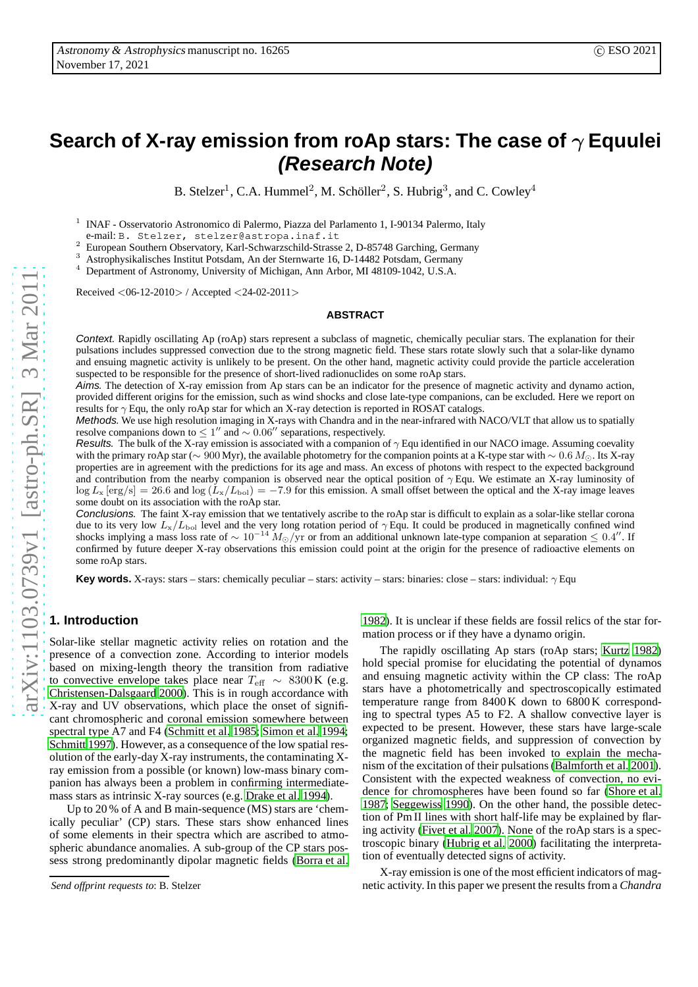# **Search of X-ray emission from roAp stars: The case of** γ **Equulei (Research Note)**

B. Stelzer<sup>1</sup>, C.A. Hummel<sup>2</sup>, M. Schöller<sup>2</sup>, S. Hubrig<sup>3</sup>, and C. Cowley<sup>4</sup>

1 INAF - Osservatorio Astronomico di Palermo, Piazza del Parlamento 1, I-90134 Palermo, Italy e-mail: B. Stelzer, stelzer@astropa.inaf.it

<sup>2</sup> European Southern Observatory, Karl-Schwarzschild-Strasse 2, D-85748 Garching, Germany<br><sup>3</sup> Actrophysiclicalese Institut Detectory, Karl-Schwarzschild-Strasse 2, D-85748 Garching, Germany

<sup>3</sup> Astrophysikalisches Institut Potsdam, An der Sternwarte 16, D-14482 Potsdam, Germany

<sup>4</sup> Department of Astronomy, University of Michigan, Ann Arbor, MI 48109-1042, U.S.A.

Received <06-12-2010> / Accepted <24-02-2011>

#### **ABSTRACT**

Context. Rapidly oscillating Ap (roAp) stars represent a subclass of magnetic, chemically peculiar stars. The explanation for their pulsations includes suppressed convection due to the strong magnetic field. These stars rotate slowly such that a solar-like dynamo and ensuing magnetic activity is unlikely to be present. On the other hand, magnetic activity could provide the particle acceleration suspected to be responsible for the presence of short-lived radionuclides on some roAp stars.

Aims. The detection of X-ray emission from Ap stars can be an indicator for the presence of magnetic activity and dynamo action, provided different origins for the emission, such as wind shocks and close late-type companions, can be excluded. Here we report on results for  $\gamma$  Equ, the only roAp star for which an X-ray detection is reported in ROSAT catalogs.

Methods. We use high resolution imaging in X-rays with Chandra and in the near-infrared with NACO/VLT that allow us to spatially resolve companions down to  $\leq 1''$  and  $\sim 0.06''$  separations, respectively.

Results. The bulk of the X-ray emission is associated with a companion of  $\gamma$  Equ identified in our NACO image. Assuming coevality with the primary roAp star ( $\sim 900$  Myr), the available photometry for the companion points at a K-type star with  $\sim 0.6$  M<sub>☉</sub>. Its X-ray properties are in agreement with the predictions for its age and mass. An excess of photons with respect to the expected background and contribution from the nearby companion is observed near the optical position of  $\gamma$  Equ. We estimate an X-ray luminosity of  $\log L_x \text{ [erg/s]} = 26.6$  and  $\log (L_x/L_{bol}) = -7.9$  for this emission. A small offset between the optical and the X-ray image leaves some doubt on its association with the roAp star.

Conclusions. The faint X-ray emission that we tentatively ascribe to the roAp star is difficult to explain as a solar-like stellar corona due to its very low  $L_x/L_{bol}$  level and the very long rotation period of  $\gamma$  Equ. It could be produced in magnetically confined wind shocks implying a mass loss rate of  $\sim 10^{-14} M_{\odot}/yr$  or from an additional unknown late-type companion at separation  $\leq 0.4''$ . If confirmed by future deeper X-ray observations this emission could point at the origin for the presence of radioactive elements on some roAp stars.

**Key words.** X-rays: stars – stars: chemically peculiar – stars: activity – stars: binaries: close – stars: individual: γ Equ

# **1. Introduction**

Solar-like stellar magnetic activity relies on rotation and the presence of a convection zone. According to interior models based on mixing-length theory the transition from radiative to convective envelope takes place near  $T_{\text{eff}} \sim 8300 \text{ K}$  (e.g. [Christensen-Dalsgaard 2000\)](#page-4-0). This is in rough accordance with X-ray and UV observations, which place the onset of significant chromospheric and coronal emission somewhere between spectral type A7 and F4 [\(Schmitt et al. 1985;](#page-4-1) [Simon et al. 1994](#page-4-2); [Schmitt 1997](#page-4-3)). However, as a consequence of the low spatial resolution of the early-day X-ray instruments, the contaminating Xray emission from a possible (or known) low-mass binary companion has always been a problem in confirming intermediatemass stars as intrinsic X-ray sources (e.g. [Drake et al. 1994](#page-4-4)).

Up to 20 % of A and B main-sequence (MS) stars are 'chemically peculiar' (CP) stars. These stars show enhanced lines of some elements in their spectra which are ascribed to atmospheric abundance anomalies. A sub-group of the CP stars possess strong predominantly dipolar magnetic fields [\(Borra et](#page-4-5) al.

[1982\)](#page-4-5). It is unclear if these fields are fossil relics of the star formation process or if they have a dynamo origin.

The rapidly oscillating Ap stars (roAp stars; [Kurtz 1982\)](#page-4-6) hold special promise for elucidating the potential of dynamos and ensuing magnetic activity within the CP class: The roAp stars have a photometrically and spectroscopically estimated temperature range from 8400 K down to 6800 K corresponding to spectral types A5 to F2. A shallow convective layer is expected to be present. However, these stars have large-scale organized magnetic fields, and suppression of convection by the magnetic field has been invoked to explain the mechanism of the excitation of their pulsations [\(Balmforth et al.](#page-4-7) [2001\)](#page-4-7). Consistent with the expected weakness of convection, no evidence for chromospheres have been found so far [\(Shore et al.](#page-4-8) [1987;](#page-4-8) [Seggewiss 1990\)](#page-4-9). On the other hand, the possible detection of Pm II lines with short half-life may be explained by flaring activity [\(Fivet et al. 2007](#page-4-10)). None of the roAp stars is a spectroscopic binary [\(Hubrig et al. 2000\)](#page-4-11) facilitating the interpretation of eventually detected signs of activity.

X-ray emission is one of the most efficient indicators of magnetic activity. In this paper we present the results from a *Chandra*

*Send offprint requests to*: B. Stelzer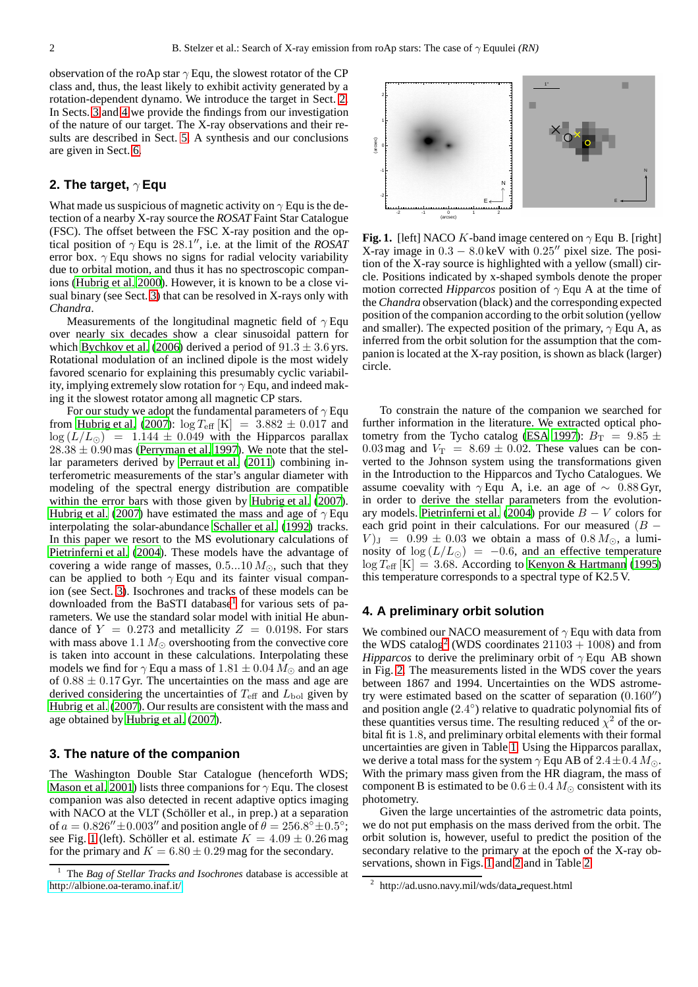observation of the roAp star  $\gamma$  Equ, the slowest rotator of the CP class and, thus, the least likely to exhibit activity generated by a rotation-dependent dynamo. We introduce the target in Sect. [2.](#page-1-0) In Sects. [3](#page-1-1) and [4](#page-1-2) we provide the findings from our investigation of the nature of our target. The X-ray observations and their results are described in Sect. [5.](#page-2-0) A synthesis and our conclusions are given in Sect. [6.](#page-3-0)

# <span id="page-1-0"></span>**2. The target,** γ **Equ**

What made us suspicious of magnetic activity on  $\gamma$  Equ is the detection of a nearby X-ray source the *ROSAT* Faint Star Catalogue (FSC). The offset between the FSC X-ray position and the optical position of  $\gamma$  Equ is 28.1", i.e. at the limit of the *ROSAT* error box.  $\gamma$  Equ shows no signs for radial velocity variability due to orbital motion, and thus it has no spectroscopic companions [\(Hubrig et al. 2000\)](#page-4-11). However, it is known to be a close visual binary (see Sect. [3\)](#page-1-1) that can be resolved in X-rays only with *Chandra*.

Measurements of the longitudinal magnetic field of  $\gamma$  Equ over nearly six decades show a clear sinusoidal pattern for which [Bychkov et al. \(2006\)](#page-4-12) derived a period of  $91.3 \pm 3.6$  yrs. Rotational modulation of an inclined dipole is the most widely favored scenario for explaining this presumably cyclic variability, implying extremely slow rotation for  $\gamma$  Equ, and indeed making it the slowest rotator among all magnetic CP stars.

For our study we adopt the fundamental parameters of  $\gamma$  Equ from [Hubrig et al. \(2007\)](#page-4-13):  $\log T_{\text{eff}}$  [K] = 3.882  $\pm$  0.017 and  $\log (L/L_{\odot})$  = 1.144 ± 0.049 with the Hipparcos parallax  $28.38 \pm 0.90$  mas [\(Perryman et al. 1997\)](#page-4-14). We note that the stellar parameters derived by [Perraut et al. \(2011\)](#page-4-15) combining interferometric measurements of the star's angular diameter with modeling of the spectral energy distribution are compatible within the error bars with those given by Hubrig et al.  $(2007)$ . [Hubrig et al. \(2007\)](#page-4-13) have estimated the mass and age of  $\gamma$  Equ interpolating the solar-abundance [Schaller et al.](#page-4-16) [\(1992\)](#page-4-16) tracks. In this paper we resort to the MS evolutionary calculations of [Pietrinferni et al.](#page-4-17) [\(2004\)](#page-4-17). These models have the advantage of covering a wide range of masses,  $0.5...10 M_{\odot}$ , such that they can be applied to both  $\gamma$  Equ and its fainter visual companion (see Sect. [3\)](#page-1-1). Isochrones and tracks of these models can be downloaded from the BaSTI database<sup>[1](#page-1-3)</sup> for various sets of parameters. We use the standard solar model with initial He abundance of  $Y = 0.273$  and metallicity  $Z = 0.0198$ . For stars with mass above 1.1  $M_{\odot}$  overshooting from the convective core is taken into account in these calculations. Interpolating these models we find for  $\gamma$  Equ a mass of 1.81  $\pm$  0.04  $M_{\odot}$  and an age of  $0.88 \pm 0.17$  Gyr. The uncertainties on the mass and age are derived considering the uncertainties of  $T_{\text{eff}}$  and  $L_{\text{bol}}$  given by [Hubrig et al.](#page-4-13) [\(2007\)](#page-4-13). Our results are consistent with the mass and age obtained by [Hubrig et al.](#page-4-13) [\(2007\)](#page-4-13).

## <span id="page-1-1"></span>**3. The nature of the companion**

The Washington Double Star Catalogue (henceforth WDS; [Mason et al. 2001\)](#page-4-18) lists three companions for  $\gamma$  Equ. The closest companion was also detected in recent adaptive optics imaging with NACO at the VLT (Schöller et al., in prep.) at a separation of  $a = 0.826'' \pm 0.003''$  and position angle of  $\theta = 256.8^{\circ} \pm 0.5^{\circ}$ ; see Fig. [1](#page-1-4) (left). Schöller et al. estimate  $K = 4.09 \pm 0.26$  mag for the primary and  $K = 6.80 \pm 0.29$  mag for the secondary.



<span id="page-1-4"></span>**Fig. 1.** [left] NACO K-band image centered on  $\gamma$  Equ B. [right] X-ray image in  $0.3 - 8.0 \,\text{keV}$  with  $0.25''$  pixel size. The position of the X-ray source is highlighted with a yellow (small) circle. Positions indicated by x-shaped symbols denote the proper motion corrected *Hipparcos* position of  $\gamma$  Equ A at the time of the *Chandra* observation (black) and the corresponding expected position of the companion according to the orbit solution (yellow and smaller). The expected position of the primary,  $\gamma$  Equ A, as inferred from the orbit solution for the assumption that the companion is located at the X-ray position, is shown as black (larger) circle.

To constrain the nature of the companion we searched for further information in the literature. We extracted optical pho-tometry from the Tycho catalog [\(ESA 1997\)](#page-4-19):  $B_T = 9.85 \pm$ 0.03 mag and  $V_T$  = 8.69  $\pm$  0.02. These values can be converted to the Johnson system using the transformations given in the Introduction to the Hipparcos and Tycho Catalogues. We assume coevality with  $\gamma$  Equ A, i.e. an age of  $\sim 0.88$  Gyr, in order to derive the stellar parameters from the evolution-ary models. [Pietrinferni et al.](#page-4-17) [\(2004\)](#page-4-17) provide  $B - V$  colors for each grid point in their calculations. For our measured  $(B V_{\rm J} = 0.99 \pm 0.03$  we obtain a mass of  $0.8 M_{\odot}$ , a luminosity of  $\log(L/L_{\odot}) = -0.6$ , and an effective temperature  $\log T_{\text{eff}}$  [K] = 3.68. According to [Kenyon & Hartmann \(1995\)](#page-4-20) this temperature corresponds to a spectral type of K2.5 V.

# <span id="page-1-2"></span>**4. A preliminary orbit solution**

We combined our NACO measurement of  $\gamma$  Equ with data from the WDS catalog<sup>[2](#page-1-5)</sup> (WDS coordinates  $21103 + 1008$ ) and from *Hipparcos* to derive the preliminary orbit of  $\gamma$  Equ AB shown in Fig. [2.](#page-2-1) The measurements listed in the WDS cover the years between 1867 and 1994. Uncertainties on the WDS astrometry were estimated based on the scatter of separation (0.160′′) and position angle (2.4°) relative to quadratic polynomial fits of these quantities versus time. The resulting reduced  $\chi^2$  of the orbital fit is 1.8, and preliminary orbital elements with their formal uncertainties are given in Table [1.](#page-2-2) Using the Hipparcos parallax, we derive a total mass for the system  $\gamma$  Equ AB of 2.4 ± 0.4  $M_{\odot}$ . With the primary mass given from the HR diagram, the mass of component B is estimated to be  $0.6 \pm 0.4$  M<sub>☉</sub> consistent with its photometry.

Given the large uncertainties of the astrometric data points, we do not put emphasis on the mass derived from the orbit. The orbit solution is, however, useful to predict the position of the secondary relative to the primary at the epoch of the X-ray observations, shown in Figs. [1](#page-1-4) and [2](#page-2-1) and in Table [2.](#page-2-3)

<span id="page-1-3"></span><sup>1</sup> The *Bag of Stellar Tracks and Isochrones* database is accessible at <http://albione.oa-teramo.inaf.it/>

<span id="page-1-5"></span><sup>&</sup>lt;sup>2</sup> http://ad.usno.navy.mil/wds/data\_request.html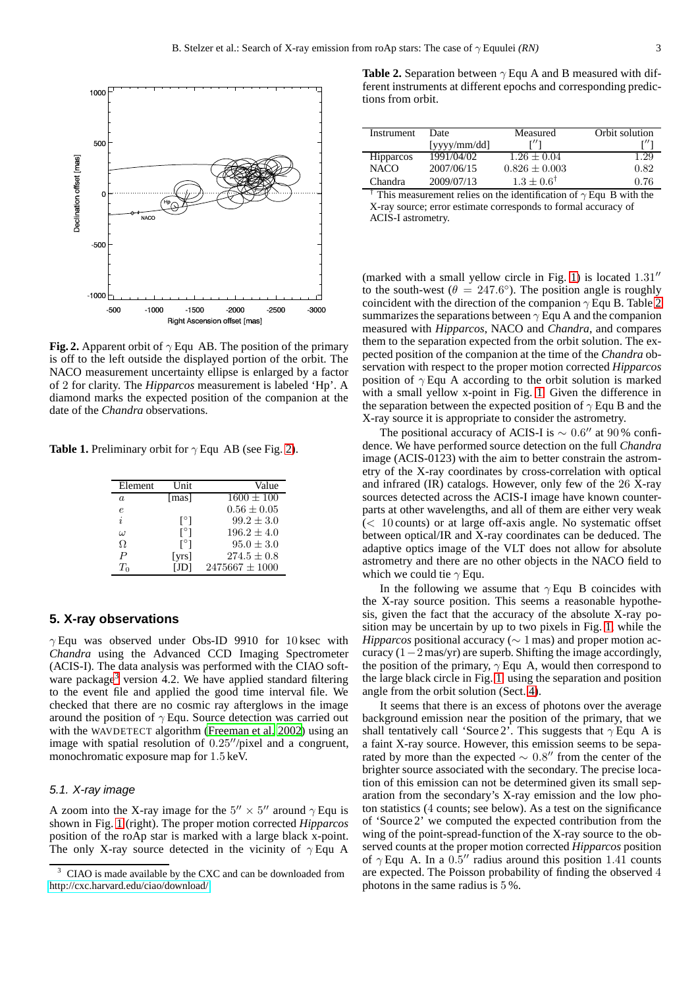

<span id="page-2-1"></span>**Fig. 2.** Apparent orbit of  $\gamma$  Equ AB. The position of the primary is off to the left outside the displayed portion of the orbit. The NACO measurement uncertainty ellipse is enlarged by a factor of 2 for clarity. The *Hipparcos* measurement is labeled 'Hp'. A diamond marks the expected position of the companion at the date of the *Chandra* observations.

**Table 1.** Preliminary orbit for  $\gamma$  Equ AB (see Fig. [2\)](#page-2-1).

<span id="page-2-2"></span>

| Element          | <b>Unit</b> | Value              |
|------------------|-------------|--------------------|
| $\alpha$         | [mas]       | $1600 \pm 100$     |
| $\epsilon$       |             | $0.56 \pm 0.05$    |
| i                | l°J         | $99.2 \pm 3.0$     |
| $\omega$         | l°J         | $196.2 \pm 4.0$    |
| $\Omega$         | l°J         | $95.0 \pm 3.0$     |
| $\boldsymbol{P}$ | [ $yrs$ ]   | $274.5 \pm 0.8$    |
| $T_0$            | JDI         | $2475667 \pm 1000$ |

## <span id="page-2-0"></span>**5. X-ray observations**

 $\gamma$  Equ was observed under Obs-ID 9910 for 10 ksec with *Chandra* using the Advanced CCD Imaging Spectrometer (ACIS-I). The data analysis was performed with the CIAO soft-ware package<sup>[3](#page-2-4)</sup> version 4.2. We have applied standard filtering to the event file and applied the good time interval file. We checked that there are no cosmic ray afterglows in the image around the position of  $\gamma$  Equ. Source detection was carried out with the WAVDETECT algorithm [\(Freeman et al. 2002\)](#page-4-21) using an image with spatial resolution of 0.25′′/pixel and a congruent, monochromatic exposure map for 1.5 keV.

## 5.1. X-ray image

A zoom into the X-ray image for the  $5'' \times 5''$  around  $\gamma$  Equ is shown in Fig. [1](#page-1-4) (right). The proper motion corrected *Hipparcos* position of the roAp star is marked with a large black x-point. The only X-ray source detected in the vicinity of  $\gamma$  Equ A

<span id="page-2-3"></span>**Table 2.** Separation between  $\gamma$  Equ A and B measured with different instruments at different epochs and corresponding predictions from orbit.

| Instrument       | Date              | Measured                 | Orbit solution                                    |
|------------------|-------------------|--------------------------|---------------------------------------------------|
|                  | $[$ yyy $/mm/dd]$ | r// <sub>1</sub>         |                                                   |
| <b>Hipparcos</b> | 1991/04/02        | $1.26 \pm 0.04$          | 1.29                                              |
| <b>NACO</b>      | 2007/06/15        | $0.826 \pm 0.003$        | 0.82                                              |
| Chandra          | 2009/07/13        | $1.3 + 0.6^{\dagger}$    | 0.76                                              |
| $-1$             | $\cdot$ $\cdot$   | $\cdots$ $\cdots$<br>. . | $\sim$<br>.<br>$\overline{\phantom{0}}$<br>$\sim$ |

This measurement relies on the identification of  $\gamma$  Equ B with the X-ray source; error estimate corresponds to formal accuracy of ACIS-I astrometry.

(marked with a small yellow circle in Fig. [1\)](#page-1-4) is located 1.31′′ to the south-west ( $\theta = 247.6^{\circ}$ ). The position angle is roughly coincident with the direction of the companion  $\gamma$  Equ B. Table [2](#page-2-3) summarizes the separations between  $\gamma$  Equ A and the companion measured with *Hipparcos*, NACO and *Chandra*, and compares them to the separation expected from the orbit solution. The expected position of the companion at the time of the *Chandra* observation with respect to the proper motion corrected *Hipparcos* position of  $\gamma$  Equ A according to the orbit solution is marked with a small yellow x-point in Fig. [1.](#page-1-4) Given the difference in the separation between the expected position of  $\gamma$  Equ B and the X-ray source it is appropriate to consider the astrometry.

The positional accuracy of ACIS-I is  $\sim 0.6''$  at 90% confidence. We have performed source detection on the full *Chandra* image (ACIS-0123) with the aim to better constrain the astrometry of the X-ray coordinates by cross-correlation with optical and infrared (IR) catalogs. However, only few of the 26 X-ray sources detected across the ACIS-I image have known counterparts at other wavelengths, and all of them are either very weak  $(< 10$  counts) or at large off-axis angle. No systematic offset between optical/IR and X-ray coordinates can be deduced. The adaptive optics image of the VLT does not allow for absolute astrometry and there are no other objects in the NACO field to which we could tie  $\gamma$  Equ.

In the following we assume that  $\gamma$  Equ B coincides with the X-ray source position. This seems a reasonable hypothesis, given the fact that the accuracy of the absolute X-ray position may be uncertain by up to two pixels in Fig. [1,](#page-1-4) while the *Hipparcos* positional accuracy (∼ 1 mas) and proper motion accuracy  $(1-2 \text{ mas/yr})$  are superb. Shifting the image accordingly, the position of the primary,  $\gamma$  Equ A, would then correspond to the large black circle in Fig. [1,](#page-1-4) using the separation and position angle from the orbit solution (Sect. [4\)](#page-1-2).

It seems that there is an excess of photons over the average background emission near the position of the primary, that we shall tentatively call 'Source 2'. This suggests that  $\gamma$  Equ A is a faint X-ray source. However, this emission seems to be separated by more than the expected  $\sim 0.8''$  from the center of the brighter source associated with the secondary. The precise location of this emission can not be determined given its small separation from the secondary's X-ray emission and the low photon statistics (4 counts; see below). As a test on the significance of 'Source 2' we computed the expected contribution from the wing of the point-spread-function of the X-ray source to the observed counts at the proper motion corrected *Hipparcos* position of  $\gamma$  Equ A. In a 0.5" radius around this position 1.41 counts are expected. The Poisson probability of finding the observed 4 photons in the same radius is 5 %.

<span id="page-2-4"></span>CIAO is made available by the CXC and can be downloaded from <http://cxc.harvard.edu/ciao/download/>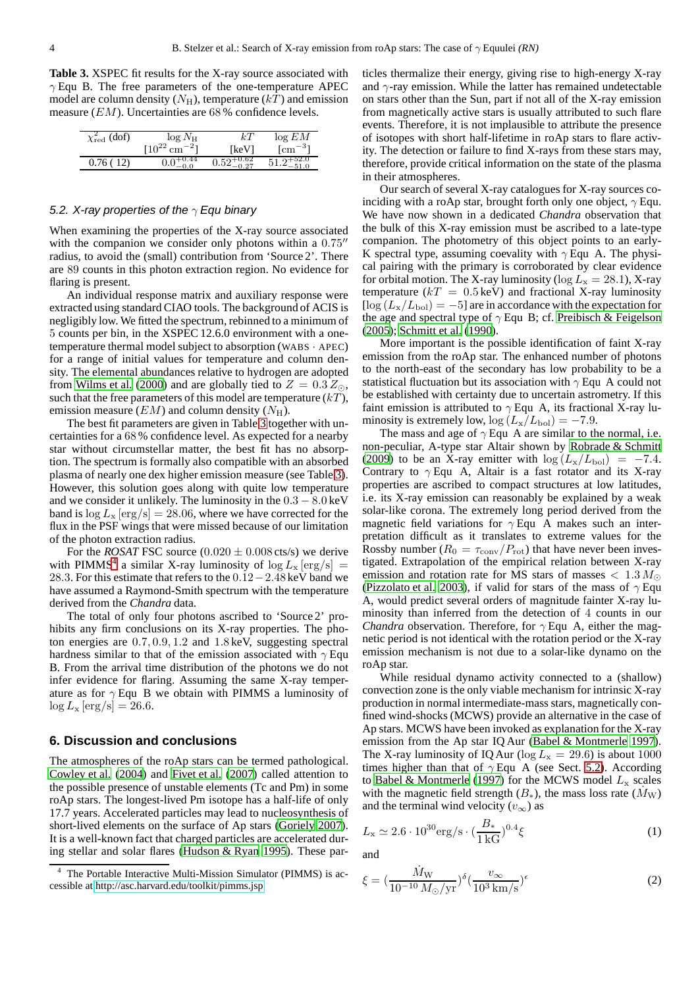<span id="page-3-1"></span>**Table 3.** XSPEC fit results for the X-ray source associated with  $\gamma$  Equ B. The free parameters of the one-temperature APEC model are column density  $(N_H)$ , temperature  $(kT)$  and emission measure (EM). Uncertainties are 68 % confidence levels.

| $\chi^2_{\text{red}}$ (dof) | $log N_{\rm H}$               | kТ                        | log EM         |
|-----------------------------|-------------------------------|---------------------------|----------------|
|                             | $[10^{22}$ cm <sup>-2</sup> ] | [keV]                     | $\rm[cm^{-3}]$ |
| 0.76(12)                    | -0.44<br>0.0                  | $0.52^{\overline{+0.62}}$ | $51.2^{+52.0}$ |

#### <span id="page-3-3"></span>5.2. X-ray properties of the  $\gamma$  Equ binary

When examining the properties of the X-ray source associated with the companion we consider only photons within a  $0.75$ <sup>"</sup> radius, to avoid the (small) contribution from 'Source 2'. There are 89 counts in this photon extraction region. No evidence for flaring is present.

An individual response matrix and auxiliary response were extracted using standard CIAO tools. The background of ACIS is negligibly low. We fitted the spectrum, rebinned to a minimum of 5 counts per bin, in the XSPEC 12.6.0 environment with a onetemperature thermal model subject to absorption (WABS · APEC) for a range of initial values for temperature and column density. The elemental abundances relative to hydrogen are adopted from [Wilms et al. \(2000](#page-4-22)) and are globally tied to  $Z = 0.3 Z_{\odot}$ , such that the free parameters of this model are temperature  $(kT)$ , emission measure  $(EM)$  and column density  $(N_H)$ .

The best fit parameters are given in Table [3](#page-3-1) together with uncertainties for a 68 % confidence level. As expected for a nearby star without circumstellar matter, the best fit has no absorption. The spectrum is formally also compatible with an absorbed plasma of nearly one dex higher emission measure (see Table [3\)](#page-3-1). However, this solution goes along with quite low temperature and we consider it unlikely. The luminosity in the  $0.3 - 8.0$  keV band is  $\log L_x \text{[erg/s]} = 28.06$ , where we have corrected for the flux in the PSF wings that were missed because of our limitation of the photon extraction radius.

For the *ROSAT* FSC source  $(0.020 \pm 0.008 \text{ cts/s})$  we derive with PIMMS<sup>[4](#page-3-2)</sup> a similar X-ray luminosity of  $\log L_x \,[\text{erg/s}] =$ 28.3. For this estimate that refers to the 0.12−2.48 keV band we have assumed a Raymond-Smith spectrum with the temperature derived from the *Chandra* data.

The total of only four photons ascribed to 'Source 2' prohibits any firm conclusions on its X-ray properties. The photon energies are 0.7, 0.9, 1.2 and 1.8 keV, suggesting spectral hardness similar to that of the emission associated with  $\gamma$  Equ B. From the arrival time distribution of the photons we do not infer evidence for flaring. Assuming the same X-ray temperature as for  $\gamma$  Equ B we obtain with PIMMS a luminosity of  $\log L_{\rm x} \,[\rm erg/s] = 26.6.$ 

### <span id="page-3-0"></span>**6. Discussion and conclusions**

The atmospheres of the roAp stars can be termed pathological. [Cowley et al.](#page-4-23) [\(2004\)](#page-4-23) and [Fivet et al. \(2007\)](#page-4-10) called attention to the possible presence of unstable elements (Tc and Pm) in some roAp stars. The longest-lived Pm isotope has a half-life of only 17.7 years. Accelerated particles may lead to nucleosynthesis of short-lived elements on the surface of Ap stars [\(Goriely 2007](#page-4-24)). It is a well-known fact that charged particles are accelerated during stellar and solar flares [\(Hudson & Ryan 1995](#page-4-25)). These particles thermalize their energy, giving rise to high-energy X-ray and  $\gamma$ -ray emission. While the latter has remained undetectable on stars other than the Sun, part if not all of the X-ray emission from magnetically active stars is usually attributed to such flare events. Therefore, it is not implausible to attribute the presence of isotopes with short half-lifetime in roAp stars to flare activity. The detection or failure to find X-rays from these stars may, therefore, provide critical information on the state of the plasma in their atmospheres.

Our search of several X-ray catalogues for X-ray sources coinciding with a roAp star, brought forth only one object,  $\gamma$  Equ. We have now shown in a dedicated *Chandra* observation that the bulk of this X-ray emission must be ascribed to a late-type companion. The photometry of this object points to an early-K spectral type, assuming coevality with  $\gamma$  Equ A. The physical pairing with the primary is corroborated by clear evidence for orbital motion. The X-ray luminosity ( $\log L_{\rm x} = 28.1$ ), X-ray temperature  $(kT = 0.5 \text{ keV})$  and fractional X-ray luminosity  $[\log (L_{\rm x}/L_{\rm bol}) = -5]$  are in accordance with the expectation for the age and spectral type of  $\gamma$  Equ B; cf. [Preibisch & Feigelson](#page-4-26) [\(2005](#page-4-26)); [Schmitt et al. \(1990\)](#page-4-27).

More important is the possible identification of faint X-ray emission from the roAp star. The enhanced number of photons to the north-east of the secondary has low probability to be a statistical fluctuation but its association with  $\gamma$  Equ A could not be established with certainty due to uncertain astrometry. If this faint emission is attributed to  $\gamma$  Equ A, its fractional X-ray luminosity is extremely low,  $log (L_x/L_{bol}) = -7.9$ .

The mass and age of  $\gamma$  Equ A are similar to the normal, i.e. non-peculiar, A-type star Altair shown by [Robrade & Schmitt](#page-4-28) [\(2009](#page-4-28)) to be an X-ray emitter with  $\log(L_{\rm x}/L_{\rm bol}) = -7.4$ . Contrary to  $\gamma$  Equ A, Altair is a fast rotator and its X-ray properties are ascribed to compact structures at low latitudes, i.e. its X-ray emission can reasonably be explained by a weak solar-like corona. The extremely long period derived from the magnetic field variations for  $\gamma$  Equ A makes such an interpretation difficult as it translates to extreme values for the Rossby number ( $R_0 = \tau_{\text{conv}}/P_{\text{rot}}$ ) that have never been investigated. Extrapolation of the empirical relation between X-ray emission and rotation rate for MS stars of masses  $< 1.3 M_{\odot}$ [\(Pizzolato et al. 2003\)](#page-4-29), if valid for stars of the mass of  $\gamma$  Equ A, would predict several orders of magnitude fainter X-ray luminosity than inferred from the detection of 4 counts in our *Chandra* observation. Therefore, for  $\gamma$  Equ A, either the magnetic period is not identical with the rotation period or the X-ray emission mechanism is not due to a solar-like dynamo on the roAp star.

While residual dynamo activity connected to a (shallow) convection zone is the only viable mechanism for intrinsic X-ray production in normal intermediate-mass stars, magnetically confined wind-shocks (MCWS) provide an alternative in the case of Ap stars. MCWS have been invoked as explanation for the X-ray emission from the Ap star IQ Aur [\(Babel & Montmerle 1997\)](#page-4-30). The X-ray luminosity of IQ Aur ( $\log L_{\rm x} = 29.6$ ) is about 1000 times higher than that of  $\gamma$  Equ A (see Sect. [5.2\)](#page-3-3). According to [Babel & Montmerle](#page-4-30) [\(1997\)](#page-4-30) for the MCWS model  $L_x$  scales with the magnetic field strength  $(B_*)$ , the mass loss rate  $(\dot{M}_W)$ and the terminal wind velocity  $(v_{\infty})$  as

$$
L_{\rm x} \simeq 2.6 \cdot 10^{30} \text{erg/s} \cdot \left(\frac{B_{*}}{1 \text{ kG}}\right)^{0.4} \xi \tag{1}
$$

and

$$
\xi = (\frac{\dot{M}_{\rm W}}{10^{-10} M_{\odot}/\mathrm{yr}})^{\delta} (\frac{v_{\infty}}{10^3 \,\mathrm{km/s}})^{\epsilon} \tag{2}
$$

<span id="page-3-2"></span>The Portable Interactive Multi-Mission Simulator (PIMMS) is accessible at<http://asc.harvard.edu/toolkit/pimms.jsp>